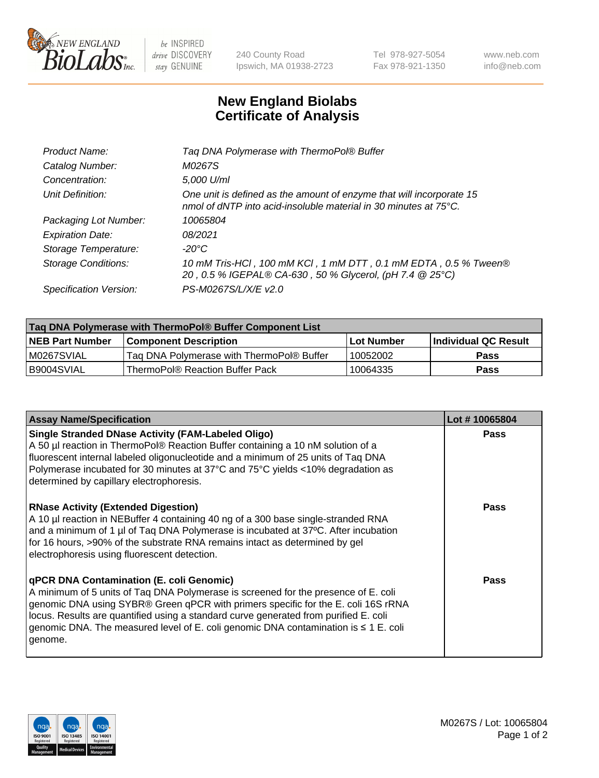

 $be$  INSPIRED drive DISCOVERY stay GENUINE

240 County Road Ipswich, MA 01938-2723 Tel 978-927-5054 Fax 978-921-1350 www.neb.com info@neb.com

## **New England Biolabs Certificate of Analysis**

| Tag DNA Polymerase with ThermoPol® Buffer                                                                                                |
|------------------------------------------------------------------------------------------------------------------------------------------|
| M0267S                                                                                                                                   |
| 5,000 U/ml                                                                                                                               |
| One unit is defined as the amount of enzyme that will incorporate 15<br>nmol of dNTP into acid-insoluble material in 30 minutes at 75°C. |
| 10065804                                                                                                                                 |
| 08/2021                                                                                                                                  |
| $-20^{\circ}$ C                                                                                                                          |
| 10 mM Tris-HCl, 100 mM KCl, 1 mM DTT, 0.1 mM EDTA, 0.5 % Tween®<br>20, 0.5 % IGEPAL® CA-630, 50 % Glycerol, (pH 7.4 @ 25°C)              |
| PS-M0267S/L/X/E v2.0                                                                                                                     |
|                                                                                                                                          |

| Tag DNA Polymerase with ThermoPol® Buffer Component List |                                           |                   |                        |  |
|----------------------------------------------------------|-------------------------------------------|-------------------|------------------------|--|
| <b>INEB Part Number</b>                                  | <b>Component Description</b>              | <b>Lot Number</b> | l Individual QC Result |  |
| M0267SVIAL                                               | Tag DNA Polymerase with ThermoPol® Buffer | 10052002          | Pass                   |  |
| B9004SVIAL                                               | ThermoPol® Reaction Buffer Pack           | 10064335          | Pass                   |  |

| <b>Assay Name/Specification</b>                                                                                                                                                                                                                                                                                                                                                                               | Lot #10065804 |
|---------------------------------------------------------------------------------------------------------------------------------------------------------------------------------------------------------------------------------------------------------------------------------------------------------------------------------------------------------------------------------------------------------------|---------------|
| <b>Single Stranded DNase Activity (FAM-Labeled Oligo)</b><br>A 50 µl reaction in ThermoPol® Reaction Buffer containing a 10 nM solution of a<br>fluorescent internal labeled oligonucleotide and a minimum of 25 units of Taq DNA<br>Polymerase incubated for 30 minutes at 37°C and 75°C yields <10% degradation as<br>determined by capillary electrophoresis.                                              | <b>Pass</b>   |
| <b>RNase Activity (Extended Digestion)</b><br>A 10 µl reaction in NEBuffer 4 containing 40 ng of a 300 base single-stranded RNA<br>and a minimum of 1 µl of Taq DNA Polymerase is incubated at 37°C. After incubation<br>for 16 hours, >90% of the substrate RNA remains intact as determined by gel<br>electrophoresis using fluorescent detection.                                                          | <b>Pass</b>   |
| qPCR DNA Contamination (E. coli Genomic)<br>A minimum of 5 units of Taq DNA Polymerase is screened for the presence of E. coli<br>genomic DNA using SYBR® Green qPCR with primers specific for the E. coli 16S rRNA<br>locus. Results are quantified using a standard curve generated from purified E. coli<br>genomic DNA. The measured level of E. coli genomic DNA contamination is ≤ 1 E. coli<br>genome. | Pass          |